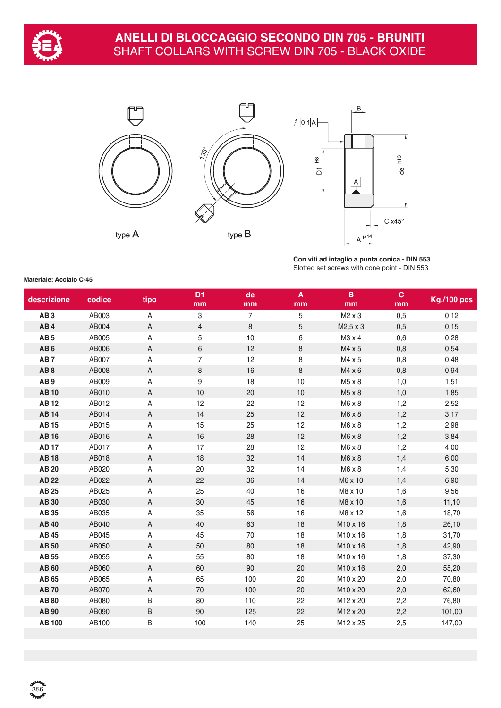



**Con viti ad intaglio a punta conica - DIN 553** Slotted set screws with cone point - DIN 553

#### **Materiale: Acciaio C-45**

 $356$ 

| descrizione     | codice | tipo        | D <sub>1</sub><br>mm | de<br>mm       | $\boldsymbol{\mathsf{A}}$<br>mm | $\overline{B}$<br>mm | $\mathbf{C}$<br>mm | <b>Kg./100 pcs</b> |
|-----------------|--------|-------------|----------------------|----------------|---------------------------------|----------------------|--------------------|--------------------|
| AB <sub>3</sub> | AB003  | A           | $\,3$                | $\overline{7}$ | 5                               | M2 x 3               | 0,5                | 0,12               |
| AB <sub>4</sub> | AB004  | $\mathsf A$ | $\overline{4}$       | 8              | $\mathbf 5$                     | M2,5 x 3             | 0,5                | 0,15               |
| AB <sub>5</sub> | AB005  | Α           | 5                    | 10             | 6                               | M3 x 4               | 0,6                | 0,28               |
| AB <sub>6</sub> | AB006  | Α           | $6\,$                | 12             | 8                               | M4 x 5               | 0,8                | 0,54               |
| AB <sub>7</sub> | AB007  | Α           | $\overline{7}$       | 12             | 8                               | M4 x 5               | 0,8                | 0,48               |
| AB <sub>8</sub> | AB008  | A           | $\,8\,$              | 16             | 8                               | $M4 \times 6$        | 0,8                | 0,94               |
| AB <sub>9</sub> | AB009  | Α           | $\boldsymbol{9}$     | 18             | $10$                            | M5 x 8               | 1,0                | 1,51               |
| <b>AB10</b>     | AB010  | A           | 10                   | 20             | $10$                            | M5 x 8               | 1,0                | 1,85               |
| <b>AB12</b>     | AB012  | Α           | 12                   | 22             | 12                              | M6 x 8               | 1,2                | 2,52               |
| <b>AB14</b>     | AB014  | A           | 14                   | 25             | 12                              | M6 x 8               | 1,2                | 3,17               |
| <b>AB15</b>     | AB015  | Α           | 15                   | 25             | 12                              | M6 x 8               | 1,2                | 2,98               |
| <b>AB16</b>     | AB016  | Α           | 16                   | 28             | 12                              | M6 x 8               | 1,2                | 3,84               |
| <b>AB17</b>     | AB017  | Α           | 17                   | 28             | 12                              | M6 x 8               | 1,2                | 4,00               |
| <b>AB18</b>     | AB018  | Α           | 18                   | 32             | 14                              | M6 x 8               | 1,4                | 6,00               |
| <b>AB 20</b>    | AB020  | Α           | 20                   | 32             | 14                              | M6 x 8               | 1,4                | 5,30               |
| <b>AB22</b>     | AB022  | A           | 22                   | 36             | 14                              | M6 x 10              | 1,4                | 6,90               |
| <b>AB 25</b>    | AB025  | Α           | 25                   | 40             | 16                              | M8 x 10              | 1,6                | 9,56               |
| <b>AB 30</b>    | AB030  | A           | 30                   | 45             | 16                              | M8 x 10              | 1,6                | 11,10              |
| AB 35           | AB035  | A           | 35                   | 56             | 16                              | M8 x 12              | 1,6                | 18,70              |
| <b>AB 40</b>    | AB040  | A           | 40                   | 63             | 18                              | M10 x 16             | 1,8                | 26,10              |
| <b>AB 45</b>    | AB045  | Α           | 45                   | 70             | 18                              | M10 x 16             | 1,8                | 31,70              |
| <b>AB 50</b>    | AB050  | A           | 50                   | 80             | 18                              | M10 x 16             | 1,8                | 42,90              |
| <b>AB 55</b>    | AB055  | Α           | 55                   | 80             | 18                              | M10 x 16             | 1,8                | 37,30              |
| <b>AB60</b>     | AB060  | A           | 60                   | 90             | 20                              | M10 x 16             | 2,0                | 55,20              |
| <b>AB 65</b>    | AB065  | Α           | 65                   | 100            | 20                              | M10 x 20             | 2,0                | 70,80              |
| <b>AB70</b>     | AB070  | A           | 70                   | 100            | 20                              | M10 x 20             | 2,0                | 62,60              |
| <b>AB 80</b>    | AB080  | B           | 80                   | 110            | 22                              | M12 x 20             | 2,2                | 76,80              |
| <b>AB 90</b>    | AB090  | B           | 90                   | 125            | 22                              | M12 x 20             | 2,2                | 101,00             |
| <b>AB 100</b>   | AB100  | B           | 100                  | 140            | 25                              | M12 x 25             | 2,5                | 147,00             |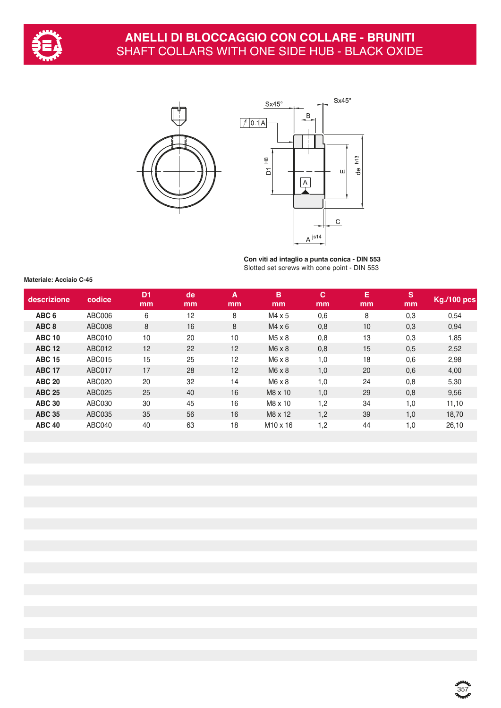

## **ANELLI DI BLOCCAGGIO CON COLLARE - BRUNITI** SHAFT COLLARS WITH ONE SIDE HUB - BLACK OXIDE





**Con viti ad intaglio a punta conica - DIN 553** Slotted set screws with cone point - DIN 553

**Materiale: Acciaio C-45**

| descrizione      | codice        | D <sub>1</sub><br>mm | de<br>mm | A<br>mm | B<br>mm              | C<br>mm | Е<br>mm | S<br>mm | <b>Kg./100 pcs</b> |
|------------------|---------------|----------------------|----------|---------|----------------------|---------|---------|---------|--------------------|
| ABC <sub>6</sub> | ABC006        | 6                    | 12       | 8       | $M4 \times 5$        | 0,6     | 8       | 0,3     | 0,54               |
| ABC <sub>8</sub> | ABC008        | 8                    | 16       | 8       | $M4 \times 6$        | 0,8     | 10      | 0,3     | 0,94               |
| <b>ABC 10</b>    | ABC010        | 10                   | 20       | 10      | $M5 \times 8$        | 0,8     | 13      | 0,3     | 1,85               |
| <b>ABC 12</b>    | ABC012        | 12                   | 22       | 12      | $M6 \times 8$        | 0,8     | 15      | 0,5     | 2,52               |
| <b>ABC 15</b>    | <b>ABC015</b> | 15                   | 25       | 12      | $M6 \times 8$        | 1,0     | 18      | 0,6     | 2,98               |
| <b>ABC 17</b>    | <b>ABC017</b> | 17                   | 28       | 12      | $M6 \times 8$        | 1,0     | 20      | 0,6     | 4,00               |
| <b>ABC 20</b>    | <b>ABC020</b> | 20                   | 32       | 14      | $M6 \times 8$        | 1,0     | 24      | 0,8     | 5,30               |
| <b>ABC 25</b>    | ABC025        | 25                   | 40       | 16      | M8 x 10              | 1,0     | 29      | 0,8     | 9,56               |
| <b>ABC 30</b>    | ABC030        | 30                   | 45       | 16      | M8 x 10              | 1,2     | 34      | 1,0     | 11,10              |
| <b>ABC 35</b>    | ABC035        | 35                   | 56       | 16      | M8 x 12              | 1,2     | 39      | 1,0     | 18,70              |
| <b>ABC 40</b>    | ABC040        | 40                   | 63       | 18      | M <sub>10</sub> x 16 | 1,2     | 44      | 1,0     | 26,10              |

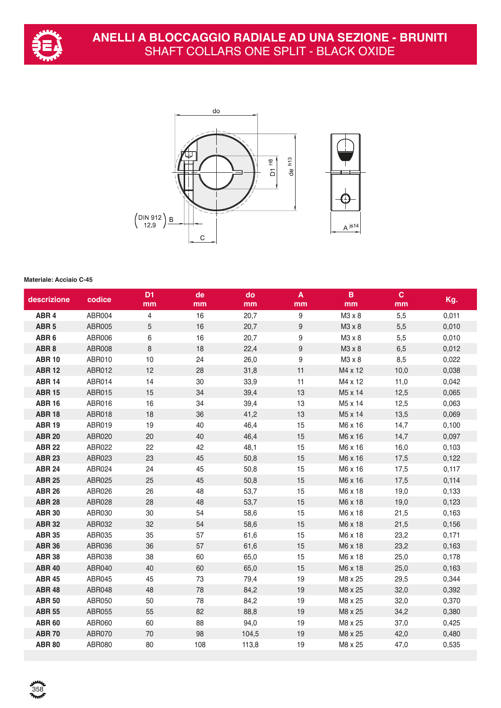



## **Materiale: Acciaio C-45**

358<br>**Prof**e

| ABR <sub>4</sub><br>ABR004<br>16<br>20,7<br>9<br>5,5<br>0,011<br>4<br>$M3 \times 8$<br>$\mathbf 5$<br>$\boldsymbol{9}$<br>ABR <sub>5</sub><br>ABR005<br>16<br>20,7<br>M3 x 8<br>5,5<br>0,010<br>ABR <sub>6</sub><br>ABR006<br>6<br>16<br>20,7<br>9<br>M3 x 8<br>5,5<br>0,010<br>$\boldsymbol{9}$<br>ABR <sub>8</sub><br>ABR008<br>8<br>18<br>22,4<br>$M3 \times 8$<br>6,5<br>0,012<br>$\boldsymbol{9}$<br><b>ABR 10</b><br>ABR010<br>10<br>24<br>26,0<br>$M3 \times 8$<br>8,5<br>0,022<br><b>ABR 12</b><br>12<br>28<br>31,8<br>11<br>ABR012<br>M4 x 12<br>10,0<br>0,038<br><b>ABR 14</b><br>ABR014<br>14<br>30<br>33,9<br>M4 x 12<br>11<br>11,0<br>0,042<br><b>ABR 15</b><br>13<br>ABR015<br>15<br>34<br>39,4<br>M5 x 14<br>12,5<br>0,065<br><b>ABR 16</b><br>ABR016<br>16<br>34<br>39,4<br>13<br>M5 x 14<br>12,5<br>0,063<br>18<br>36<br>41,2<br>13<br>0,069<br><b>ABR 18</b><br>ABR018<br>M5 x 14<br>13,5<br><b>ABR 19</b><br>ABR019<br>19<br>40<br>46,4<br>15<br>M6 x 16<br>14,7<br>0,100<br><b>ABR 20</b><br>20<br>40<br>46,4<br>15<br>ABR020<br>M6 x 16<br>14,7<br>0,097<br><b>ABR 22</b><br>22<br>42<br>15<br>ABR022<br>48,1<br>M6 x 16<br>16,0<br>0,103<br><b>ABR 23</b><br>ABR023<br>23<br>45<br>50,8<br>15<br>M6 x 16<br>0,122<br>17,5<br>45<br><b>ABR 24</b><br>ABR024<br>24<br>50,8<br>15<br>M6 x 16<br>0,117<br>17,5<br><b>ABR 25</b><br>25<br>45<br>15<br>ABR025<br>50,8<br>M6 x 16<br>17,5<br>0,114 | Kg.   |
|-------------------------------------------------------------------------------------------------------------------------------------------------------------------------------------------------------------------------------------------------------------------------------------------------------------------------------------------------------------------------------------------------------------------------------------------------------------------------------------------------------------------------------------------------------------------------------------------------------------------------------------------------------------------------------------------------------------------------------------------------------------------------------------------------------------------------------------------------------------------------------------------------------------------------------------------------------------------------------------------------------------------------------------------------------------------------------------------------------------------------------------------------------------------------------------------------------------------------------------------------------------------------------------------------------------------------------------------------------------------------------------------------------------------|-------|
|                                                                                                                                                                                                                                                                                                                                                                                                                                                                                                                                                                                                                                                                                                                                                                                                                                                                                                                                                                                                                                                                                                                                                                                                                                                                                                                                                                                                                   |       |
|                                                                                                                                                                                                                                                                                                                                                                                                                                                                                                                                                                                                                                                                                                                                                                                                                                                                                                                                                                                                                                                                                                                                                                                                                                                                                                                                                                                                                   |       |
|                                                                                                                                                                                                                                                                                                                                                                                                                                                                                                                                                                                                                                                                                                                                                                                                                                                                                                                                                                                                                                                                                                                                                                                                                                                                                                                                                                                                                   |       |
|                                                                                                                                                                                                                                                                                                                                                                                                                                                                                                                                                                                                                                                                                                                                                                                                                                                                                                                                                                                                                                                                                                                                                                                                                                                                                                                                                                                                                   |       |
|                                                                                                                                                                                                                                                                                                                                                                                                                                                                                                                                                                                                                                                                                                                                                                                                                                                                                                                                                                                                                                                                                                                                                                                                                                                                                                                                                                                                                   |       |
|                                                                                                                                                                                                                                                                                                                                                                                                                                                                                                                                                                                                                                                                                                                                                                                                                                                                                                                                                                                                                                                                                                                                                                                                                                                                                                                                                                                                                   |       |
|                                                                                                                                                                                                                                                                                                                                                                                                                                                                                                                                                                                                                                                                                                                                                                                                                                                                                                                                                                                                                                                                                                                                                                                                                                                                                                                                                                                                                   |       |
|                                                                                                                                                                                                                                                                                                                                                                                                                                                                                                                                                                                                                                                                                                                                                                                                                                                                                                                                                                                                                                                                                                                                                                                                                                                                                                                                                                                                                   |       |
|                                                                                                                                                                                                                                                                                                                                                                                                                                                                                                                                                                                                                                                                                                                                                                                                                                                                                                                                                                                                                                                                                                                                                                                                                                                                                                                                                                                                                   |       |
|                                                                                                                                                                                                                                                                                                                                                                                                                                                                                                                                                                                                                                                                                                                                                                                                                                                                                                                                                                                                                                                                                                                                                                                                                                                                                                                                                                                                                   |       |
|                                                                                                                                                                                                                                                                                                                                                                                                                                                                                                                                                                                                                                                                                                                                                                                                                                                                                                                                                                                                                                                                                                                                                                                                                                                                                                                                                                                                                   |       |
|                                                                                                                                                                                                                                                                                                                                                                                                                                                                                                                                                                                                                                                                                                                                                                                                                                                                                                                                                                                                                                                                                                                                                                                                                                                                                                                                                                                                                   |       |
|                                                                                                                                                                                                                                                                                                                                                                                                                                                                                                                                                                                                                                                                                                                                                                                                                                                                                                                                                                                                                                                                                                                                                                                                                                                                                                                                                                                                                   |       |
|                                                                                                                                                                                                                                                                                                                                                                                                                                                                                                                                                                                                                                                                                                                                                                                                                                                                                                                                                                                                                                                                                                                                                                                                                                                                                                                                                                                                                   |       |
|                                                                                                                                                                                                                                                                                                                                                                                                                                                                                                                                                                                                                                                                                                                                                                                                                                                                                                                                                                                                                                                                                                                                                                                                                                                                                                                                                                                                                   |       |
|                                                                                                                                                                                                                                                                                                                                                                                                                                                                                                                                                                                                                                                                                                                                                                                                                                                                                                                                                                                                                                                                                                                                                                                                                                                                                                                                                                                                                   |       |
| <b>ABR 26</b><br>26<br>48<br>15<br>ABR026<br>53,7<br>M6 x 18<br>19,0                                                                                                                                                                                                                                                                                                                                                                                                                                                                                                                                                                                                                                                                                                                                                                                                                                                                                                                                                                                                                                                                                                                                                                                                                                                                                                                                              | 0,133 |
| 53,7<br><b>ABR 28</b><br>ABR028<br>28<br>48<br>15<br>M6 x 18<br>19,0<br>0,123                                                                                                                                                                                                                                                                                                                                                                                                                                                                                                                                                                                                                                                                                                                                                                                                                                                                                                                                                                                                                                                                                                                                                                                                                                                                                                                                     |       |
| <b>ABR 30</b><br>ABR030<br>30<br>54<br>58,6<br>15<br>M6 x 18<br>21,5<br>0,163                                                                                                                                                                                                                                                                                                                                                                                                                                                                                                                                                                                                                                                                                                                                                                                                                                                                                                                                                                                                                                                                                                                                                                                                                                                                                                                                     |       |
| <b>ABR 32</b><br>ABR032<br>32<br>54<br>58,6<br>15<br>M6 x 18<br>21,5<br>0,156                                                                                                                                                                                                                                                                                                                                                                                                                                                                                                                                                                                                                                                                                                                                                                                                                                                                                                                                                                                                                                                                                                                                                                                                                                                                                                                                     |       |
| 35<br><b>ABR 35</b><br>ABR035<br>57<br>15<br>M6 x 18<br>61,6<br>23,2<br>0,171                                                                                                                                                                                                                                                                                                                                                                                                                                                                                                                                                                                                                                                                                                                                                                                                                                                                                                                                                                                                                                                                                                                                                                                                                                                                                                                                     |       |
| 36<br>57<br><b>ABR 36</b><br>ABR036<br>61,6<br>15<br>M6 x 18<br>23,2<br>0,163                                                                                                                                                                                                                                                                                                                                                                                                                                                                                                                                                                                                                                                                                                                                                                                                                                                                                                                                                                                                                                                                                                                                                                                                                                                                                                                                     |       |
| <b>ABR 38</b><br>38<br>60<br>ABR038<br>65,0<br>15<br>M6 x 18<br>25,0<br>0,178                                                                                                                                                                                                                                                                                                                                                                                                                                                                                                                                                                                                                                                                                                                                                                                                                                                                                                                                                                                                                                                                                                                                                                                                                                                                                                                                     |       |
| <b>ABR 40</b><br>ABR040<br>40<br>60<br>65,0<br>15<br>M6 x 18<br>25,0<br>0,163                                                                                                                                                                                                                                                                                                                                                                                                                                                                                                                                                                                                                                                                                                                                                                                                                                                                                                                                                                                                                                                                                                                                                                                                                                                                                                                                     |       |
| <b>ABR 45</b><br>ABR045<br>45<br>73<br>19<br>M8 x 25<br>0,344<br>79,4<br>29,5                                                                                                                                                                                                                                                                                                                                                                                                                                                                                                                                                                                                                                                                                                                                                                                                                                                                                                                                                                                                                                                                                                                                                                                                                                                                                                                                     |       |
| 48<br>78<br>84,2<br>19<br>0,392<br><b>ABR 48</b><br>ABR048<br>M8 x 25<br>32,0                                                                                                                                                                                                                                                                                                                                                                                                                                                                                                                                                                                                                                                                                                                                                                                                                                                                                                                                                                                                                                                                                                                                                                                                                                                                                                                                     |       |
| 84,2<br>19<br><b>ABR 50</b><br>ABR050<br>50<br>78<br>M8 x 25<br>32,0<br>0,370                                                                                                                                                                                                                                                                                                                                                                                                                                                                                                                                                                                                                                                                                                                                                                                                                                                                                                                                                                                                                                                                                                                                                                                                                                                                                                                                     |       |
| <b>ABR 55</b><br>ABR055<br>55<br>82<br>88,8<br>19<br>M8 x 25<br>34,2<br>0,380                                                                                                                                                                                                                                                                                                                                                                                                                                                                                                                                                                                                                                                                                                                                                                                                                                                                                                                                                                                                                                                                                                                                                                                                                                                                                                                                     |       |
| 60<br>88<br><b>ABR 60</b><br>ABR060<br>94,0<br>19<br>M8 x 25<br>37,0<br>0,425                                                                                                                                                                                                                                                                                                                                                                                                                                                                                                                                                                                                                                                                                                                                                                                                                                                                                                                                                                                                                                                                                                                                                                                                                                                                                                                                     |       |
| <b>ABR 70</b><br>70<br>98<br>ABR070<br>104,5<br>19<br>M8 x 25<br>42,0<br>0,480                                                                                                                                                                                                                                                                                                                                                                                                                                                                                                                                                                                                                                                                                                                                                                                                                                                                                                                                                                                                                                                                                                                                                                                                                                                                                                                                    |       |
| <b>ABR 80</b><br>ABR080<br>80<br>108<br>113,8<br>19<br>M8 x 25<br>0,535<br>47,0                                                                                                                                                                                                                                                                                                                                                                                                                                                                                                                                                                                                                                                                                                                                                                                                                                                                                                                                                                                                                                                                                                                                                                                                                                                                                                                                   |       |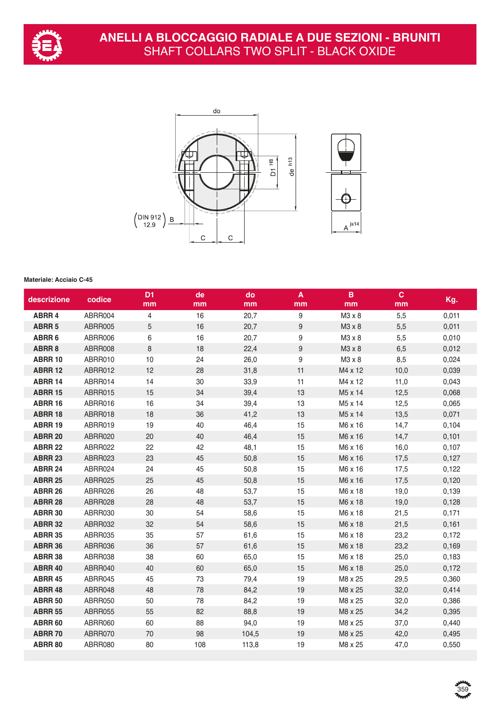



## **Materiale: Acciaio C-45**

| descrizione    | codice  | D <sub>1</sub><br>mm | de<br>mm | do<br>mm | $\pmb{\mathsf{A}}$<br>mm | B<br>mm | $\mathbf{C}$<br>mm | Kg.   |
|----------------|---------|----------------------|----------|----------|--------------------------|---------|--------------------|-------|
| <b>ABRR 4</b>  | ABRR004 | $\overline{4}$       | 16       | 20,7     | $\boldsymbol{9}$         | M3 x 8  | 5,5                | 0,011 |
| <b>ABRR 5</b>  | ABRR005 | $\sqrt{5}$           | 16       | 20,7     | 9                        | M3 x 8  | 5,5                | 0,011 |
| ABRR 6         | ABRR006 | 6                    | 16       | 20,7     | 9                        | M3 x 8  | 5,5                | 0,010 |
| ABRR 8         | ABRR008 | 8                    | 18       | 22,4     | 9                        | M3 x 8  | 6,5                | 0,012 |
| <b>ABRR 10</b> | ABRR010 | 10                   | 24       | 26,0     | 9                        | M3 x 8  | 8,5                | 0,024 |
| <b>ABRR 12</b> | ABRR012 | 12                   | 28       | 31,8     | 11                       | M4 x 12 | 10,0               | 0,039 |
| <b>ABRR 14</b> | ABRR014 | 14                   | 30       | 33,9     | 11                       | M4 x 12 | 11,0               | 0,043 |
| <b>ABRR 15</b> | ABRR015 | 15                   | 34       | 39,4     | 13                       | M5 x 14 | 12,5               | 0,068 |
| <b>ABRR 16</b> | ABRR016 | 16                   | 34       | 39,4     | 13                       | M5 x 14 | 12,5               | 0,065 |
| <b>ABRR 18</b> | ABRR018 | 18                   | 36       | 41,2     | 13                       | M5 x 14 | 13,5               | 0,071 |
| <b>ABRR 19</b> | ABRR019 | 19                   | 40       | 46,4     | 15                       | M6 x 16 | 14,7               | 0,104 |
| <b>ABRR 20</b> | ABRR020 | 20                   | 40       | 46,4     | 15                       | M6 x 16 | 14,7               | 0,101 |
| <b>ABRR 22</b> | ABRR022 | 22                   | 42       | 48,1     | 15                       | M6 x 16 | 16,0               | 0,107 |
| <b>ABRR 23</b> | ABRR023 | 23                   | 45       | 50,8     | 15                       | M6 x 16 | 17,5               | 0,127 |
| <b>ABRR 24</b> | ABRR024 | 24                   | 45       | 50,8     | 15                       | M6 x 16 | 17,5               | 0,122 |
| <b>ABRR 25</b> | ABRR025 | 25                   | 45       | 50,8     | 15                       | M6 x 16 | 17,5               | 0,120 |
| <b>ABRR 26</b> | ABRR026 | 26                   | 48       | 53,7     | 15                       | M6 x 18 | 19,0               | 0,139 |
| <b>ABRR 28</b> | ABRR028 | 28                   | 48       | 53,7     | 15                       | M6 x 18 | 19,0               | 0,128 |
| <b>ABRR 30</b> | ABRR030 | 30                   | 54       | 58,6     | 15                       | M6 x 18 | 21,5               | 0,171 |
| <b>ABRR 32</b> | ABRR032 | 32                   | 54       | 58,6     | 15                       | M6 x 18 | 21,5               | 0,161 |
| <b>ABRR 35</b> | ABRR035 | 35                   | 57       | 61,6     | 15                       | M6 x 18 | 23,2               | 0,172 |
| ABRR 36        | ABRR036 | 36                   | 57       | 61,6     | 15                       | M6 x 18 | 23,2               | 0,169 |
| <b>ABRR 38</b> | ABRR038 | 38                   | 60       | 65,0     | 15                       | M6 x 18 | 25,0               | 0,183 |
| <b>ABRR 40</b> | ABRR040 | 40                   | 60       | 65,0     | 15                       | M6 x 18 | 25,0               | 0,172 |
| <b>ABRR 45</b> | ABRR045 | 45                   | 73       | 79,4     | 19                       | M8 x 25 | 29,5               | 0,360 |
| ABRR 48        | ABRR048 | 48                   | 78       | 84,2     | 19                       | M8 x 25 | 32,0               | 0,414 |
| <b>ABRR 50</b> | ABRR050 | 50                   | 78       | 84,2     | 19                       | M8 x 25 | 32,0               | 0,386 |
| <b>ABRR 55</b> | ABRR055 | 55                   | 82       | 88,8     | 19                       | M8 x 25 | 34,2               | 0,395 |
| <b>ABRR 60</b> | ABRR060 | 60                   | 88       | 94,0     | 19                       | M8 x 25 | 37,0               | 0,440 |
| <b>ABRR 70</b> | ABRR070 | 70                   | 98       | 104,5    | 19                       | M8 x 25 | 42,0               | 0,495 |
| <b>ABRR 80</b> | ABRR080 | 80                   | 108      | 113,8    | 19                       | M8 x 25 | 47,0               | 0,550 |
|                |         |                      |          |          |                          |         |                    |       |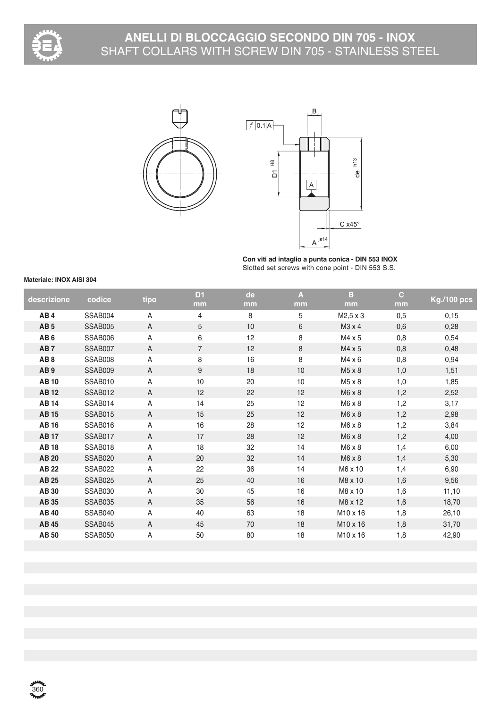

# **ANELLI DI BLOCCAGGIO SECONDO DIN 705 - INOX** SHAFT COLLARS WITH SCREW DIN 705 - STAINLESS STEEL





**Con viti ad intaglio a punta conica - DIN 553 INOX** Slotted set screws with cone point - DIN 553 S.S.

#### **Materiale: INOX AISI 304**

| descrizione     | codice         | tipo           | D <sub>1</sub> | de | A  | в                    | $\mathbf{C}$ | <b>Kg./100 pcs</b> |
|-----------------|----------------|----------------|----------------|----|----|----------------------|--------------|--------------------|
|                 |                |                | mm             | mm | mm | mm                   | mm           |                    |
| AB4             | SSAB004        | A              | 4              | 8  | 5  | M2,5 x 3             | 0,5          | 0,15               |
| AB <sub>5</sub> | SSAB005        | $\overline{A}$ | 5              | 10 | 6  | M3 x 4               | 0,6          | 0,28               |
| AB <sub>6</sub> | SSAB006        | A              | 6              | 12 | 8  | M4 x 5               | 0,8          | 0,54               |
| AB <sub>7</sub> | SSAB007        | A              | $\overline{7}$ | 12 | 8  | M4 x 5               | 0,8          | 0,48               |
| AB <sub>8</sub> | SSAB008        | A              | 8              | 16 | 8  | M4 x 6               | 0,8          | 0,94               |
| AB <sub>9</sub> | SSAB009        | A              | 9              | 18 | 10 | M5 x 8               | 1,0          | 1,51               |
| <b>AB10</b>     | SSAB010        | A              | 10             | 20 | 10 | M5 x 8               | 1,0          | 1,85               |
| <b>AB12</b>     | SSAB012        | A              | 12             | 22 | 12 | M6 x 8               | 1,2          | 2,52               |
| <b>AB14</b>     | SSAB014        | $\overline{A}$ | 14             | 25 | 12 | M6 x 8               | 1,2          | 3,17               |
| <b>AB15</b>     | <b>SSAB015</b> | A              | 15             | 25 | 12 | M6 x 8               | 1,2          | 2,98               |
| <b>AB16</b>     | SSAB016        | A              | 16             | 28 | 12 | M6 x 8               | 1,2          | 3,84               |
| <b>AB17</b>     | SSAB017        | A              | 17             | 28 | 12 | M6 x 8               | 1,2          | 4,00               |
| <b>AB18</b>     | SSAB018        | A              | 18             | 32 | 14 | M6 x 8               | 1,4          | 6,00               |
| <b>AB 20</b>    | <b>SSAB020</b> | A              | 20             | 32 | 14 | M6 x 8               | 1,4          | 5,30               |
| <b>AB 22</b>    | SSAB022        | A              | 22             | 36 | 14 | M6 x 10              | 1,4          | 6,90               |
| <b>AB 25</b>    | SSAB025        | $\overline{A}$ | 25             | 40 | 16 | M8 x 10              | 1,6          | 9,56               |
| <b>AB30</b>     | SSAB030        | A              | 30             | 45 | 16 | M8 x 10              | 1,6          | 11,10              |
| <b>AB 35</b>    | SSAB035        | A              | 35             | 56 | 16 | M8 x 12              | 1,6          | 18,70              |
| <b>AB 40</b>    | SSAB040        | A              | 40             | 63 | 18 | M <sub>10</sub> x 16 | 1,8          | 26,10              |
| <b>AB 45</b>    | SSAB045        | A              | 45             | 70 | 18 | M10 x 16             | 1,8          | 31,70              |
| <b>AB 50</b>    | SSAB050        | Α              | 50             | 80 | 18 | M <sub>10</sub> x 16 | 1,8          | 42,90              |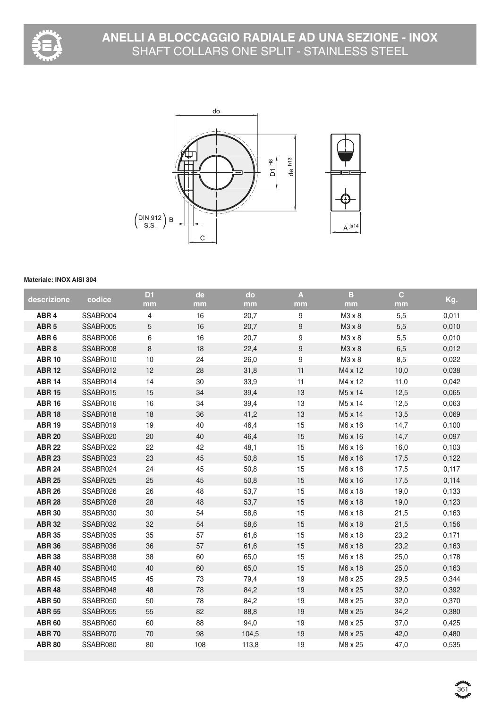



## **Materiale: INOX AISI 304**

| descrizione      | codice   | D <sub>1</sub> | de  | do    | $\mathbf{A}$     | B       | $\mathbf{C}$ | Kg.   |
|------------------|----------|----------------|-----|-------|------------------|---------|--------------|-------|
|                  |          | mm             | mm  | mm    | mm               | mm      | mm           |       |
| ABR <sub>4</sub> | SSABR004 | 4              | 16  | 20,7  | 9                | M3 x 8  | 5,5          | 0,011 |
| ABR <sub>5</sub> | SSABR005 | $\sqrt{5}$     | 16  | 20,7  | $\boldsymbol{9}$ | M3 x 8  | 5,5          | 0,010 |
| ABR <sub>6</sub> | SSABR006 | $\,6\,$        | 16  | 20,7  | $\boldsymbol{9}$ | M3 x 8  | 5,5          | 0,010 |
| ABR <sub>8</sub> | SSABR008 | $\,8\,$        | 18  | 22,4  | $\boldsymbol{9}$ | M3 x 8  | 6,5          | 0,012 |
| <b>ABR 10</b>    | SSABR010 | 10             | 24  | 26,0  | $\boldsymbol{9}$ | M3 x 8  | 8,5          | 0,022 |
| <b>ABR 12</b>    | SSABR012 | 12             | 28  | 31,8  | 11               | M4 x 12 | 10,0         | 0,038 |
| <b>ABR 14</b>    | SSABR014 | 14             | 30  | 33,9  | 11               | M4 x 12 | 11,0         | 0,042 |
| <b>ABR 15</b>    | SSABR015 | 15             | 34  | 39,4  | 13               | M5 x 14 | 12,5         | 0,065 |
| <b>ABR 16</b>    | SSABR016 | 16             | 34  | 39,4  | 13               | M5 x 14 | 12,5         | 0,063 |
| <b>ABR 18</b>    | SSABR018 | 18             | 36  | 41,2  | 13               | M5 x 14 | 13,5         | 0,069 |
| <b>ABR 19</b>    | SSABR019 | 19             | 40  | 46,4  | 15               | M6 x 16 | 14,7         | 0,100 |
| <b>ABR 20</b>    | SSABR020 | 20             | 40  | 46,4  | 15               | M6 x 16 | 14,7         | 0,097 |
| <b>ABR 22</b>    | SSABR022 | 22             | 42  | 48,1  | 15               | M6 x 16 | 16,0         | 0,103 |
| <b>ABR 23</b>    | SSABR023 | 23             | 45  | 50,8  | 15               | M6 x 16 | 17,5         | 0,122 |
| <b>ABR 24</b>    | SSABR024 | 24             | 45  | 50,8  | 15               | M6 x 16 | 17,5         | 0,117 |
| <b>ABR 25</b>    | SSABR025 | 25             | 45  | 50,8  | 15               | M6 x 16 | 17,5         | 0,114 |
| <b>ABR 26</b>    | SSABR026 | 26             | 48  | 53,7  | 15               | M6 x 18 | 19,0         | 0,133 |
| <b>ABR 28</b>    | SSABR028 | 28             | 48  | 53,7  | 15               | M6 x 18 | 19,0         | 0,123 |
| <b>ABR 30</b>    | SSABR030 | 30             | 54  | 58,6  | 15               | M6 x 18 | 21,5         | 0,163 |
| <b>ABR 32</b>    | SSABR032 | 32             | 54  | 58,6  | 15               | M6 x 18 | 21,5         | 0,156 |
| <b>ABR 35</b>    | SSABR035 | 35             | 57  | 61,6  | 15               | M6 x 18 | 23,2         | 0,171 |
| <b>ABR 36</b>    | SSABR036 | 36             | 57  | 61,6  | 15               | M6 x 18 | 23,2         | 0,163 |
| <b>ABR 38</b>    | SSABR038 | 38             | 60  | 65,0  | 15               | M6 x 18 | 25,0         | 0,178 |
| <b>ABR 40</b>    | SSABR040 | 40             | 60  | 65,0  | 15               | M6 x 18 | 25,0         | 0,163 |
| <b>ABR 45</b>    | SSABR045 | 45             | 73  | 79,4  | 19               | M8 x 25 | 29,5         | 0,344 |
| <b>ABR 48</b>    | SSABR048 | 48             | 78  | 84,2  | 19               | M8 x 25 | 32,0         | 0,392 |
| <b>ABR 50</b>    | SSABR050 | 50             | 78  | 84,2  | 19               | M8 x 25 | 32,0         | 0,370 |
| <b>ABR 55</b>    | SSABR055 | 55             | 82  | 88,8  | 19               | M8 x 25 | 34,2         | 0,380 |
| <b>ABR 60</b>    | SSABR060 | 60             | 88  | 94,0  | 19               | M8 x 25 | 37,0         | 0,425 |
| <b>ABR70</b>     | SSABR070 | 70             | 98  | 104,5 | 19               | M8 x 25 | 42,0         | 0,480 |
| <b>ABR 80</b>    | SSABR080 | 80             | 108 | 113,8 | 19               | M8 x 25 | 47,0         | 0,535 |
|                  |          |                |     |       |                  |         |              |       |